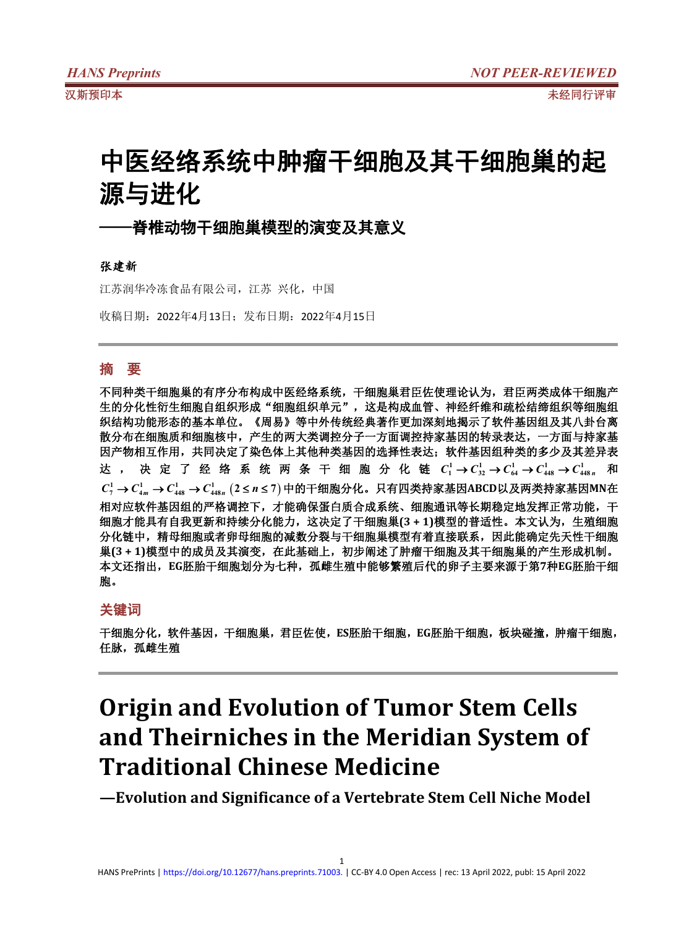# 中医经络系统中肿瘤干细胞及其干细胞巢的起 源与进化

# ·**脊椎动物干细胞巢模型的演变及其意义**

### 张建新

江苏润华冷冻食品有限公司,江苏 兴化,中国

收稿日期:2022年4月13日;发布日期:2022年4月15日

## 摘 要

不同种类干细胞巢的有序分布构成中医经络系统,干细胞巢君臣佐使理论认为,君臣两类成体干细胞产 生的分化性衍生细胞自组织形成"细胞组织单元",这是构成血管、神经纤维和疏松结缔组织等细胞组 织结构功能形态的基本单位。《周易》等中外传统经典著作更加深刻地揭示了软件基因组及其八卦台离 散分布在细胞质和细胞核中,产生的两大类调控分子一方面调控持家基因的转录表达,一方面与持家基 因产物相互作用,共同决定了染色体上其他种类基因的选择性表达;软件基因组种类的多少及其差异表 达 , 决 定 了 经 络 系 统 两 条 干 细 胞 分 化 链  $C^{1}_{1}$ → $C^{1}_{32}$ → $C^{1}_{64}$ → $C^{1}_{448}$ → $C^{1}_{448}$ " 和 *C C <sup>m</sup> C C <sup>n</sup>* **1 1 1 1 <sup>7</sup> <sup>4</sup> <sup>448</sup> <sup>448</sup> 2** *n* **7** 中的干细胞分化。只有四类持家基因**ABCD**以及两类持家基因**MN**在 相对应软件基因组的严格调控下,才能确保蛋白质合成系统、细胞通讯等长期稳定地发挥正常功能,干 细胞才能具有自我更新和持续分化能力,这决定了干细胞巢**(3 + 1)**模型的普适性。本文认为,生殖细胞 分化链中,精母细胞或者卵母细胞的减数分裂与干细胞巢模型有着直接联系,因此能确定先天性干细胞 巢**(3 + 1)**模型中的成员及其演变,在此基础上,初步阐述了肿瘤干细胞及其干细胞巢的产生形成机制。 本文还指出,**EG**胚胎干细胞划分为七种,孤雌生殖中能够繁殖后代的卵子主要来源于第**7**种**EG**胚胎干细 胞。

### 关键词

干细胞分化,软件基因,干细胞巢,君臣佐使,**ES**胚胎干细胞,**EG**胚胎干细胞,板块碰撞,肿瘤干细胞, 任脉,孤雌生殖

# **Origin and Evolution of Tumor Stem Cells and Theirniches in the Meridian System of Traditional Chinese Medicine**

**—Evolution and Significance of a Vertebrate Stem Cell Niche Model**

1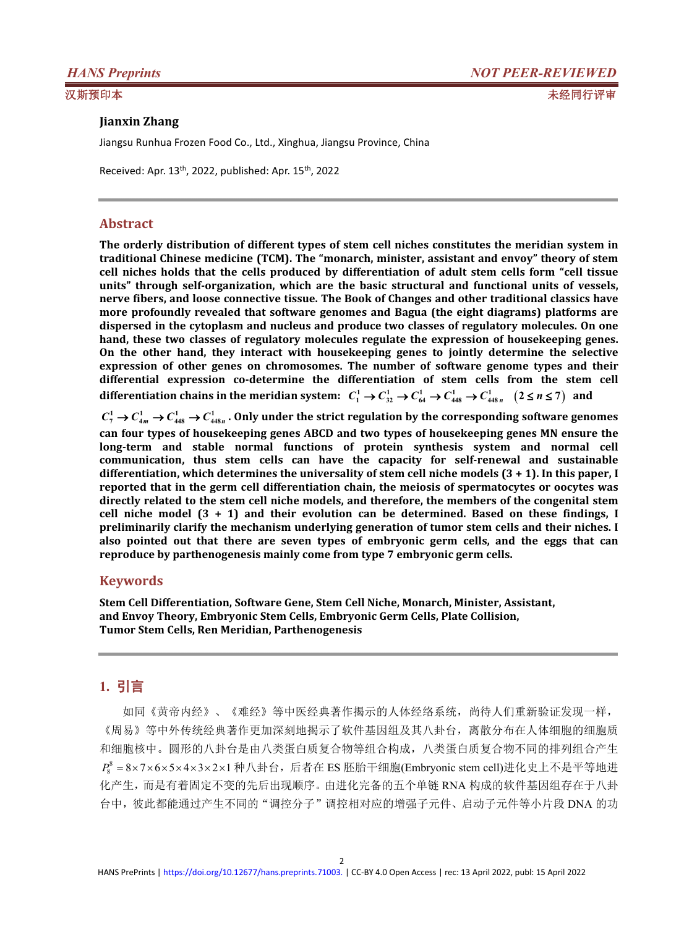### **Jianxin Zhang**

Jiangsu Runhua Frozen Food Co., Ltd., Xinghua, Jiangsu Province, China

Received: Apr. 13<sup>th</sup>, 2022, published: Apr. 15<sup>th</sup>, 2022

### **Abstract**

**The orderly distribution of different types of stem cell niches constitutes the meridian system in traditional Chinese medicine (TCM). The "monarch, minister, assistant and envoy" theory of stem cell niches holds that the cells produced by differentiation of adult stem cells form "cell tissue units" through self-organization, which are the basic structural and functional units of vessels, nerve fibers, and loose connective tissue. The Book ofChanges and other traditional classics have more profoundly revealed that software genomes and Bagua (the eight diagrams) platforms are dispersed in the cytoplasm and nucleus and produce two classes of regulatory molecules. On one hand, these two classes of regulatory molecules regulate the expression of housekeeping genes. On the other hand, they interact with housekeeping genes to jointly determine the selective expression of other genes on chromosomes. The number of software genome types and their differential expression co-determine the differentiation of stem cells from the stem cell** differentiation chains in the meridian system:  $C_1^1 \to C_{32}^1 \to C_{64}^1 \to C_{448}^1 \to C_{448n}^1$   $(2 \le n \le 7)$  and

 $C_7^1\to C_{4m}^1\to C_{448}^1\to C_{448n}^1$  . Only under the strict regulation by the corresponding software genomes **can four types of housekeeping genes ABCD andtwo types of housekeeping genes MN ensure the long-term and stable normalfunctions of protein synthesis system and normal cell communication, thus stem cells can have the capacity for self-renewal and sustainable differentiation, which determines the universality of stem cell niche models(3 + 1). In this paper, I reported that in the germ cell differentiation chain, the meiosis of spermatocytes or oocytes was directly related to the stem cell niche models, and therefore, the members of the congenital stem cell niche model (3 + 1) and their evolution can be determined. Based on these findings, I preliminarily clarify the mechanism underlying generation of tumor stem cells and theirniches. I also pointed out thatthere are seven types of embryonic germ cells, and the eggs that can reproduce by parthenogenesis mainly come from type 7 embryonic germ cells.**

### **Keywords**

**Stem Cell Differentiation, Software Gene, Stem Cell Niche, Monarch, Minister, Assistant, and Envoy Theory, Embryonic Stem Cells, Embryonic Germ Cells, Plate Collision, Tumor Stem Cells, Ren Meridian, Parthenogenesis**

## **1.** 引言

如同《黄帝内经》、《难经》等中医经典著作揭示的人体经络系统,尚待人们重新验证发现一样, 《周易》等中外传统经典著作更加深刻地揭示了软件基因组及其八卦台,离散分布在人体细胞的细胞质 和细胞核中。圆形的八卦台是由八类蛋白质复合物等组合构成,八类蛋白质复合物不同的排列组合产生  $P_8^8 = 8\times7\times6\times5\times4\times3\times2\times1$ 种八卦台,后者在 ES 胚胎干细胞(Embryonic stem cell)进化史上不是平等地进 化产生,而是有着固定不变的先后出现顺序。由进化完备的五个单链 RNA 构成的软件基因组存在于八卦 台中,彼此都能通过产生不同的"调控分子"调控相对应的增强子元件、启动子元件等小片段 DNA 的功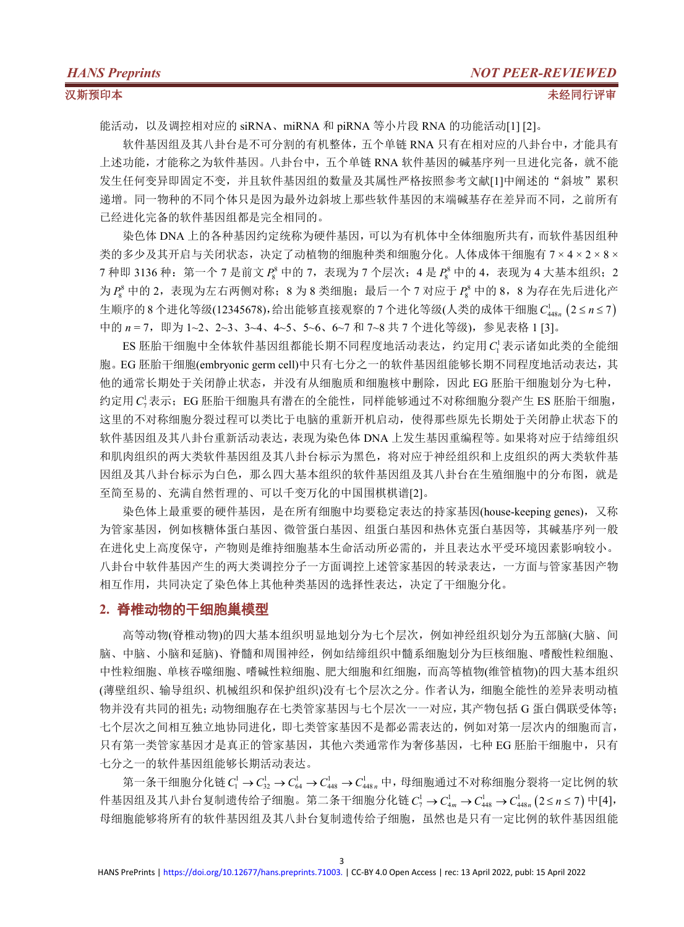能活动,以及调控相对应的 siRNA、miRNA 和 piRNA 等小片段 RNA 的功能活动[1] [2]。

软件基因组及其八卦台是不可分割的有机整体,五个单链 RNA 只有在相对应的八卦台中,才能具有 上述功能,才能称之为软件基因。八卦台中,五个单链 RNA 软件基因的碱基序列一旦进化完备,就不能 发生任何变异即固定不变,并且软件基因组的数量及其属性严格按照参考文献[1]中阐述的"斜坡"累积 递增。同一物种的不同个体只是因为最外边斜坡上那些软件基因的末端碱基存在差异而不同,之前所有 已经进化完备的软件基因组都是完全相同的。

染色体 DNA 上的各种基因约定统称为硬件基因,可以为有机体中全体细胞所共有,而软件基因组种 类的多少及其开启与关闭状态,决定了动植物的细胞种类和细胞分化。人体成体干细胞有 7 × 4 × 2 × 8 × 7 种即 3136 种: 第一个 7 是前文  $P_8^8$  中的 7, 表现为 7 个层次; 4 是  $P_8^8$  中的 4, 表现为 4 大基本组织; 2 为  $P_s^8$  中的 2, 表现为左右两侧对称; 8 为 8 类细胞;最后一个 7 对应于  $P_s^8$  中的 8, 8 为存在先后进化产 生顺序的 8 个进化等级(12345678),给出能够直接观察的 7 个进化等级(人类的成体干细胞  $C_{448n}^1$  (2 ≤ n ≤ 7) 中的  $n = 7$ , 即为 1~2、2~3、3~4、4~5、5~6、6~7 和 7~8 共 7 个进化等级), 参见表格 1 [3]。

ES 胚胎干细胞中全体软件基因组都能长期不同程度地活动表达,约定用 C 表示诸如此类的全能细 胞。EG 胚胎干细胞(embryonic germ cell)中只有七分之一的软件基因组能够长期不同程度地活动表达,其 他的通常长期处于关闭静止状态,并没有从细胞质和细胞核中删除,因此 EG 胚胎干细胞划分为七种, 约定用 C<sup>1</sup>表示;EG 胚胎干细胞具有潜在的全能性,同样能够通过不对称细胞分裂产生 ES 胚胎干细胞, 这里的不对称细胞分裂过程可以类比于电脑的重新开机启动,使得那些原先长期处于关闭静止状态下的 软件基因组及其八卦台重新活动表达,表现为染色体 DNA 上发生基因重编程等。如果将对应于结缔组织 和肌肉组织的两大类软件基因组及其八卦台标示为黑色,将对应于神经组织和上皮组织的两大类软件基 因组及其八卦台标示为白色,那么四大基本组织的软件基因组及其八卦台在生殖细胞中的分布图,就是 至简至易的、充满自然哲理的、可以千变万化的中国围棋棋谱[2]。

染色体上最重要的硬件基因,是在所有细胞中均要稳定表达的持家基因(house-keeping genes), 又称 为管家基因,例如核糖体蛋白基因、微管蛋白基因、组蛋白基因和热休克蛋白基因等,其碱基序列一般 在进化史上高度保守,产物则是维持细胞基本生命活动所必需的,并且[表达](https://baike.baidu.com/item/%E5%9F%BA%E5%9B%A0%E8%A1%A8%E8%BE%BE/3839041)水平受环境因素影响较小。 八卦台中软件基因产生的两大类调控分子一方面调控上述管家基因的转录表达,一方面与管家基因产物 相互作用,共同决定了染色体上其他种类基因的选择性表达,决定了干细胞分化。

### **2.** 脊椎动物的干细胞巢模型

高等动物(脊椎动物)的四大基本组织明显地划分为七个层次,例如神经组织划分为五部脑(大脑、间 脑、中脑、小脑和延脑)、脊髓和周围神经,例如结缔组织中髓系细胞划分为巨核细胞、嗜酸性粒细胞、 中性粒细胞、单核吞噬细胞、嗜碱性粒细胞、肥大细胞和红细胞,而高等植物(维管植物)的四大基本组织 (薄壁组织、输导组织、机械组织和保护组织)没有七个层次之分。作者认为,细胞全能性的差异表明动植 物并没有共同的祖先;动物细胞存在七类管家基因与七个层次一一对应,其产物包括 G 蛋白偶联受体等; 七个层次之间相互独立地协同进化,即七类管家基因不是都必需表达的,例如对第一层次内的细胞而言, 只有第一类管家基因才是真正的管家基因,其他六类通常作为奢侈基因,七种 EG 胚胎干细胞中,只有 七分之一的软件基因组能够长期活动表达。

第一条干细胞分化链 $C_1^1$  →  $C_{32}^1$  →  $C_{64}^1$  →  $C_{448}^1$  →  $C_{448n}^1$  中, 母细胞通过不对称细胞分裂将一定比例的软 件基因组及其八卦台复制遗传给子细胞。第二条干细胞分化链 C¦ → C¦<sub>4m</sub> → C¦<sub>448</sub> → C¦<sub>448</sub>, (2≤n≤7) 中[4], 母细胞能够将所有的软件基因组及其八卦台复制遗传给子细胞,虽然也是只有一定比例的软件基因组能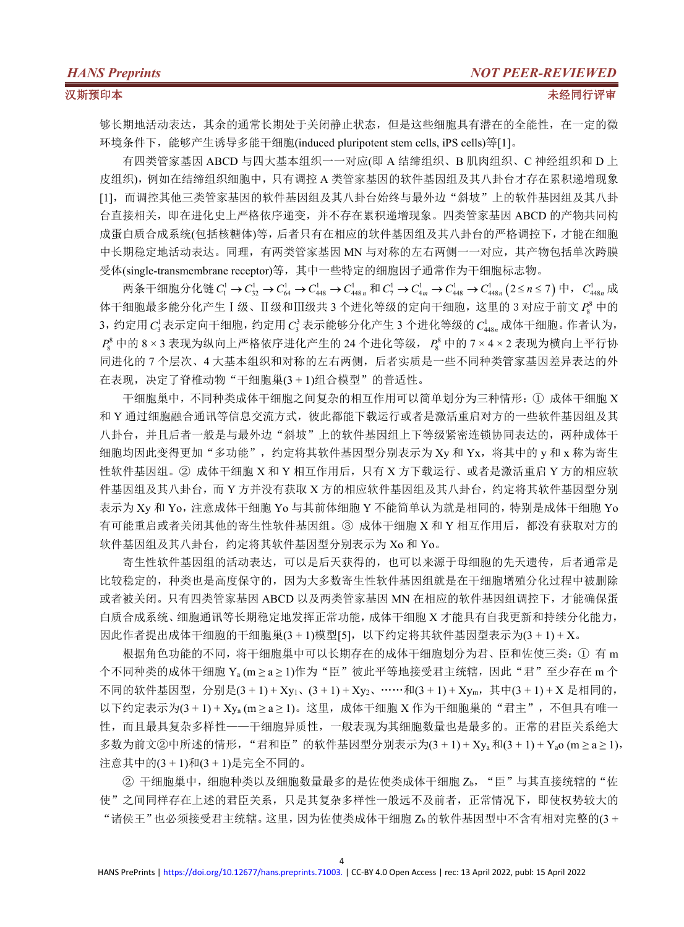够长期地活动表达,其余的通常长期处于关闭静止状态,但是这些细胞具有潜在的全能性,在一定的微 环境条件下,能够产生诱导多能干细胞(induced pluripotent stem cells, iPS cells)等[1]。

有四类管家基因 ABCD 与四大基本组织一一对应(即 A 结缔组织、B 肌肉组织、C 神经组织和 D 上 皮组织),例如在结缔组织细胞中,只有调控 A 类管家基因的软件基因组及其八卦台才存在累积递增现象 [1],而调控其他三类管家基因的软件基因组及其八卦台始终与最外边"斜坡"上的软件基因组及其八卦 台直接相关,即在进化史上严格依序递变,并不存在累积递增现象。四类管家基因 ABCD 的产物共同构 成蛋白质合成系统(包括核糖体)等,后者只有在相应的软件基因组及其八卦台的严格调控下,才能在细胞 中长期稳定地活动表达。同理,有两类管家基因 MN 与对称的左右两侧一一对应,其产物包括单次跨膜 受体(single-transmembrane receptor)等,其中一些特定的细胞因子通常作为干细胞标志物。

两条干细胞分化链  $C_1^1 \rightarrow C_{32}^1 \rightarrow C_{64}^1 \rightarrow C_{448}^1 \rightarrow C_{448n}^1$  和  $C_7^1 \rightarrow C_{448}^1 \rightarrow C_{448n}^1$  (2≤n≤7) 中, $C_{448n}^1$  成 体干细胞最多能分化产生Ⅰ级、Ⅱ级和Ⅲ级共 3 个进化等级的定向干细胞,这里的 3 对应于前文 P<sup>8</sup> 中的 3,约定用 C3表示定向干细胞,约定用 C3表示能够分化产生 3 个进化等级的 C148, 成体干细胞。作者认为,  $P_s^8$  中的 8 × 3 表现为纵向上严格依序进化产生的 24 个进化等级,  $P_s^8$  中的 7 × 4 × 2 表现为横向上平行协 同进化的 7 个层次、4 大基本组织和对称的左右两侧,后者实质是一些不同种类管家基因差异表达的外 在表现,决定了脊椎动物"干细胞巢(3 + 1)组合模型"的普适性。

干细胞巢中,不同种类成体干细胞之间复杂的相互作用可以简单划分为三种情形:① 成体干细胞 X 和 Y 通过细胞融合通讯等信息交流方式,彼此都能下载运行或者是激活重启对方的一些软件基因组及其 八卦台,并且后者一般是与最外边"斜坡"上的软件基因组上下等级紧密连锁协同表达的,两种成体干 细胞均因此变得更加"多功能",约定将其软件基因型分别表示为 Xy 和 Yx,将其中的 y 和 x 称为寄生 性软件基因组。② 成体干细胞 X 和 Y 相互作用后,只有 X 方下载运行、或者是激活重启 Y 方的相应软 件基因组及其八卦台,而 Y 方并没有获取 X 方的相应软件基因组及其八卦台, 约定将其软件基因型分别 表示为 Xy 和 Yo,注意成体干细胞 Yo 与其前体细胞 Y 不能简单认为就是相同的,特别是成体干细胞 Yo 有可能重启或者关闭其他的寄生性软件基因组。③ 成体干细胞 X 和 Y 相互作用后,都没有获取对方的 软件基因组及其八卦台,约定将其软件基因型分别表示为 Xo 和 Yo。

寄生性软件基因组的活动表达,可以是后天获得的,也可以来源于母细胞的先天遗传,后者通常是 比较稳定的,种类也是高度保守的,因为大多数寄生性软件基因组就是在干细胞增殖分化过程中被删除 或者被关闭。只有四类管家基因 ABCD 以及两类管家基因 MN 在相应的软件基因组调控下,才能确保蛋 白质合成系统、细胞通讯等长期稳定地发挥正常功能,成体干细胞 X 才能具有自我更新和持续分化能力, 因此作者提出成体干细胞的干细胞巢(3 + 1)模型[5], 以下约定将其软件基因型表示为(3 + 1) + X。

根据角色功能的不同,将干细胞巢中可以长期存在的成体干细胞划分为君、臣和佐使三类:① 有 m 个不同种类的成体干细胞 Ya (m ≥ a ≥ 1)作为"臣"彼此平等地接受君主统辖,因此"君"至少存在 m 个 不同的软件基因型, 分别是 $(3 + 1) + Xy_1$ ,  $(3 + 1) + Xy_2$ , ……和 $(3 + 1) + Xy_m$ , 其中 $(3 + 1) + X$ 是相同的,  $U$ 下约定表示为(3 + 1) + Xya (m ≥ a ≥ 1)。这里,成体干细胞 X 作为干细胞巢的"君主",不但具有唯一 性,而且最具复杂多样性——干细胞异质性,一般表现为其细胞数量也是最多的。正常的君臣关系绝大 多数为前文②中所述的情形, "君和臣"的软件基因型分别表示为 $(3 + 1) + X_{ya}$ 和 $(3 + 1) + Y_{a0}$  (m  $\geq a \geq 1$ ), 注意其中的(3 + 1)和(3 + 1)是完全不同的。

② 干细胞巢中, 细胞种类以及细胞数量最多的是佐使类成体干细胞 Zb, "臣"与其直接统辖的"佐 使"之间同样存在上述的君臣关系,只是其复杂多样性一般远不及前者,正常情况下,即使权势较大的 "诸侯王"也必须接受君主统辖。这里,因为佐使类成体干细胞 Zb的软件基因型中不含有相对完整的(3 +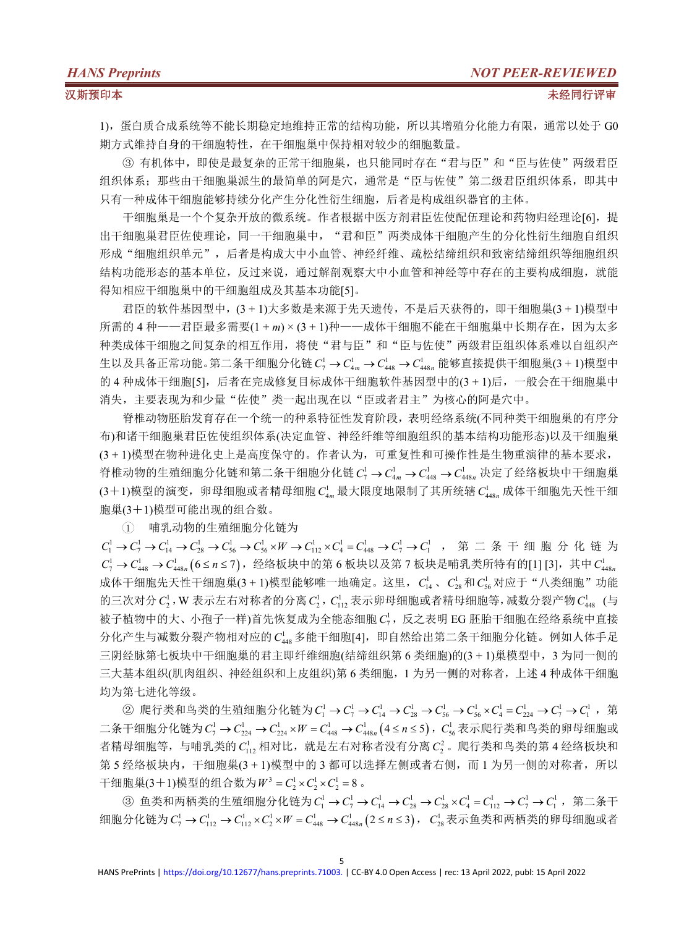1),蛋白质合成系统等不能长期稳定地维持正常的结构功能,所以其增殖分化能力有限,通常以处于 G0 期方式维持自身的干细胞特性,在干细胞巢中保持相对较少的细胞数量。

③ 有机体中,即使是最复杂的正常干细胞巢,也只能同时存在"君与臣"和"臣与佐使"两级君臣 组织体系;那些由于细胞巢派生的最简单的阿是穴,通常是"臣与佐使"第二级君臣组织体系,即其中 只有一种成体干细胞能够持续分化产生分化性衍生细胞,后者是构成组织器官的主体。

干细胞巢是一个个复杂开放的微系统。作者根据中医方剂君臣佐使配伍理论和药物归经理论[6],提 出干细胞巢君臣佐使理论,同一干细胞巢中, "君和臣"两类成体干细胞产生的分化性衍生细胞自组织 形成"细胞组织单元",后者是构成大中小血管、神经纤维、疏松结缔组织和致密结缔组织等细胞组织 结构功能形态的基本单位,反过来说,通过解剖观察大中小血管和神经等中存在的主要构成细胞,就能 得知相应干细胞巢中的干细胞组成及其基本功能[5]。

君臣的软件基因型中,(3 + 1)大多数是来源于先天遗传,不是后天获得的,即干细胞巢(3 + 1)模型中 所需的 4 种——君臣最多需要(1 + m) × (3 + 1)种——成体干细胞不能在干细胞巢中长期存在, 因为太多 种类成体干细胞之间复杂的相互作用,将使"君与臣"和"臣与佐使"两级君臣组织体系难以自组织产 生以及具备正常功能。第二条干细胞分化链  $C_7^1$  →  $C_{4m}^1$  →  $C_{448}^1$  →  $C_{448}^1$  能够直接提供干细胞巢(3 + 1)模型中 的 4 种成体干细胞[5], 后者在完成修复目标成体干细胞软件基因型中的(3 + 1)后, 一般会在干细胞巢中 消失,主要表现为和少量"佐使"类一起出现在以"臣或者君主"为核心的阿是穴中。

脊椎动物胚胎发育存在一个统一的种系特征性发育阶段,表明经络系统(不同种类干细胞巢的有序分 布)和诸干细胞巢君臣佐使组织体系(决定血管、神经纤维等细胞组织的基本结构功能形态)以及干细胞巢 (3 + 1)模型在物种进化史上是高度保守的。作者认为,可重复性和可操作性是生物重演律的基本要求, 脊椎动物的生殖细胞分化链和第二条干细胞分化链  $C_7^1$  →  $C_{4m}^1$  →  $C_{448}^1$  →  $C_{448n}^1$  决定了经络板块中干细胞巢 (3+1)模型的演变, 卵母细胞或者精母细胞  $C_{4n}^1$  最大限度地限制了其所统辖  $C_{448n}^1$  成体干细胞先天性干细 胞巢(3+1)模型可能出现的组合数。

1 哺乳动物的生殖细胞分化链为

 $C_1^1$  →  $C_7^1$  →  $C_{14}^1$  →  $C_{28}^1$  →  $C_{56}^1$  →  $C_{56}^1$  ×  $W$  →  $C_{112}^1$  ×  $C_4^1$  =  $C_{448}^1$  →  $C_7^1$  →  $C_1^1$  , 第 二 条 干 细 胞 分 化 链 为  $C_{7}^{1}$  →  $C_{448}^{1}$  →  $C_{448n}^{1}$  (6≤n≤7),经络板块中的第 6 板块以及第 7 板块是哺乳类所特有的[1] [3],其中  $C_{448n}^{1}$ 成体干细胞先天性干细胞巢(3 + 1)模型能够唯一地确定。这里,  $C_{14}^1$ 、 $C_{28}^1$ 和 $C_{56}^1$ 对应于"八类细胞"功能 的三次对分 $C_2^1$ , W 表示左右对称者的分离 $C_2^1$ ,  $C_{11}^1$ , 表示卵母细胞或者精母细胞等, 减数分裂产物 $C_{448}^1$  (与 (与 被子植物中的大、小孢子一样)首先恢复成为全能态细胞 C<sup>1</sup>, 反之表明 EG 胚胎干细胞在经络系统中直接 分化产生与减数分裂产物相对应的 C<sup>1</sup>48 多能干细胞[4], 即自然给出第二条干细胞分化链。例如人体手足 三阴经脉第七板块中干细胞巢的君主即纤维细胞(结缔组织第 6 类细胞)的(3 + 1)巢模型中,3 为同一侧的 三大基本组织(肌肉组织、神经组织和上皮组织)第 6 类细胞,1 为另一侧的对称者,上述 4 种成体干细胞 均为第七进化等级。

② 爬行类和鸟类的生殖细胞分化链为 $C_1^1$  →  $C_7^1$  →  $C_{14}^1$  →  $C_{28}^1$  →  $C_{56}^1$  ×  $C_{4}^1$  =  $C_{224}^1$  →  $C_7^1$  →  $C_1^1$  , 第 二条干细胞分化链为  $C_7^1 \rightarrow C_{224}^1 \rightarrow C_{224}^1 \times W = C_{448}^1 \rightarrow C_{448n}^1 \, (4 \leq n \leq 5)$ , $C_{56}^1$ 表示爬行类和鸟类的卵母细胞或 者精母细胞等,与哺乳类的 C112 相对比,就是左右对称者没有分离 C<sup>2</sup>。爬行类和鸟类的第 4 经络板块和 第 5 经络板块内, 干细胞巢(3 + 1)模型中的 3 都可以选择左侧或者右侧, 而 1 为另一侧的对称者, 所以 干细胞巢(3+1)模型的组合数为 $W^3 = C_2^1 \times C_2^1 \times C_2^1 = 8$ 。

③ 鱼类和两栖类的生殖细胞分化链为  $C_1^1$  →  $C_7^1$  →  $C_{14}^1$  →  $C_{28}^1$  →  $C_{4}^1$  =  $C_{112}^1$  →  $C_7^1$  →  $C_1^1$  , 第二条干 细胞分化链为  $C_7^1 \rightarrow C_{112}^1 \rightarrow C_{112}^1 \times C_2^1 \times W = C_{448}^1 \rightarrow C_{448n}^1 \, (2 \leq n \leq 3)$ ,  $C_{28}^1$ 表示鱼类和两栖类的卵母细胞或者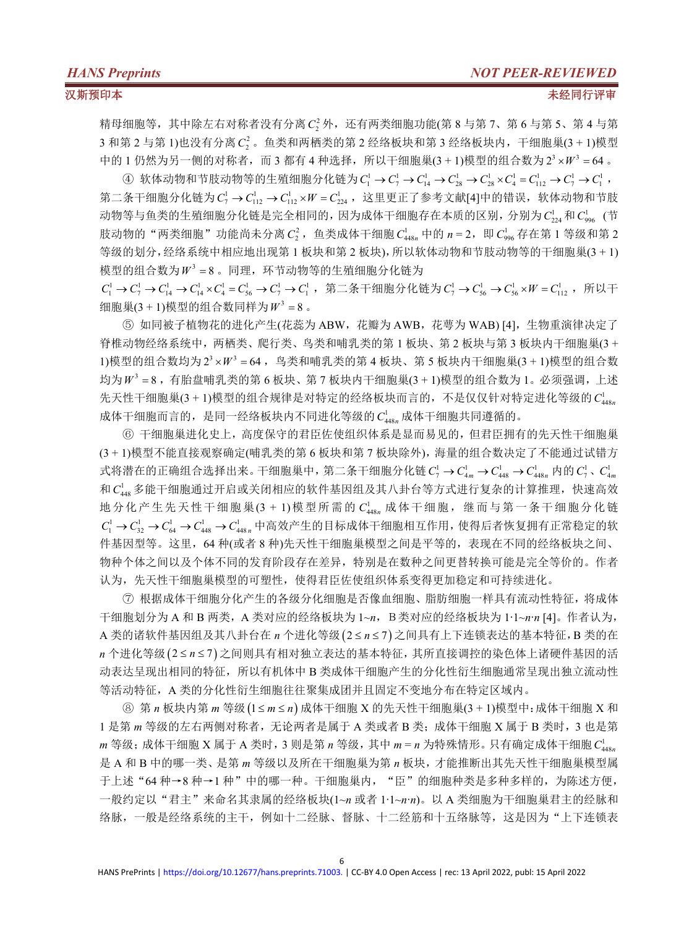精母细胞等,其中除左右对称者没有分离 C<sup>2</sup> 外,还有两类细胞功能(第 8 与第 7、第 6 与第 5、第 4 与第 3 和第 2 与第 1)也没有分离 C<sub>2</sub> 。鱼类和两栖类的第 2 经络板块和第 3 经络板块内, 干细胞巢(3 + 1)模型 中的 1 仍然为另一侧的对称者, 而 3 都有 4 种选择, 所以干细胞巢(3 + 1)模型的组合数为  $2^3 \times W^3 = 64$  。

④ 软体动物和节肢动物等的生殖细胞分化链为 $C_1^1$  →  $C_7^1$  →  $C_{14}^1$  →  $C_{28}^1$  →  $C_{28}^1$  ×  $C_4^1$  =  $C_{112}^1$  →  $C_7^1$  →  $C_1^1$  , 第二条干细胞分化链为  $C_7^1$  →  $C_{112}^1$  →  $C_{112}^1$  ×  $W = C_{224}^1$ , 这里更正了参考文献[4]中的错误, 软体动物和节肢 动物等与鱼类的生殖细胞分化链是完全相同的,因为成体干细胞存在本质的区别,分别为 C}<sub>24</sub> 和 C}<sub>96</sub> (节 (节 肢动物的"两类细胞"功能尚未分离  $C_2^2$ , 鱼类成体干细胞  $C_{448n}^1$  中的  $n = 2$ , 即  $C_{996}^1$  存在第 1 等级和第 2 等级的划分,经络系统中相应地出现第 1 板块和第 2 板块),所以软体动物和节肢动物等的干细胞巢(3 + 1) 模型的组合数为 <sup>3</sup> *W* 8 。同理,环节动物等的生殖细胞分化链为

 $C_1^1$  →  $C_7^1$  →  $C_{14}^1$  →  $C_{14}^1$  ×  $C_4^1$  =  $C_{56}^1$  →  $C_1^1$  → 第二条干细胞分化链为 $C_7^1$  →  $C_{56}^1$  →  $C_{56}^1$  ×  $W = C_{112}^1$  , 所以干 细胞巢 $(3 + 1)$ 模型的组合数同样为 $W^3 = 8$ 。

⑤ 如同被子植物花的进化产生(花蕊为 ABW,花瓣为 AWB,花萼为 WAB) [4],生物重演律决定了 脊椎动物经络系统中,两栖类、爬行类、鸟类和哺乳类的第 1 板块、第 2 板块与第 3 板块内干细胞巢(3 +  $1)$ 模型的组合数均为 $2^{3} \times W^{3} = 64$ , 鸟类和哺乳类的第 4 板块、第 5 板块内干细胞巢(3 + 1)模型的组合数 均为 $W^3 = 8$ ,有胎盘哺乳类的第 6 板块、第 7 板块内干细胞巢(3 + 1)模型的组合数为 1。必须强调,上述 先天性于细胞巢(3 + 1)模型的组合规律是对特定的经络板块而言的,不是仅仅针对特定进化等级的 C<sup>1</sup><sub>10</sub> 成体干细胞而言的,是同一经络板块内不同进化等级的 C148n 成体干细胞共同遵循的。

⑥ 干细胞巢进化史上,高度保守的君臣佐使组织体系是显而易见的,但君臣拥有的先天性干细胞巢 (3 + 1)模型不能直接观察确定(哺乳类的第 6 板块和第 7 板块除外),海量的组合数决定了不能通过试错方 式将潜在的正确组合选择出来。干细胞巢中, 第二条干细胞分化链  $C_7^1$  →  $C_{4m}^1$  →  $C_{448}^1$  →  $C_{448n}^1$  内的  $C_7^1$  、 $C_{4m}^1$ 和 C<sup>1</sup><sub>48</sub> 多能干细胞通过开启或关闭相应的软件基因组及其八卦台等方式进行复杂的计算推理,快速高效 地分化产生先天性干细胞巢(3 + 1)模型所需的  $C_{448n}^{1}$  成体干细胞,继而与第一条干细胞分化链  $C_1^1 \rightarrow C_{32}^1 \rightarrow C_{64}^1 \rightarrow C_{448}^1$  · 中高效产生的目标成体干细胞相互作用, 使得后者恢复拥有正常稳定的软 件基因型等。这里,64 种(或者 8 种)先天性干细胞巢模型之间是平等的,表现在不同的经络板块之间、 物种个体之间以及个体不同的发育阶段存在差异,特别是在数种之间更替转换可能是完全等价的。作者 认为,先天性干细胞巢模型的可塑性,使得君臣佐使组织体系变得更加稳定和可持续进化。

⑦ 根据成体干细胞分化产生的各级分化细胞是否像血细胞、脂肪细胞一样具有流动性特征,将成体 干细胞划分为 A 和 B 两类,A 类对应的经络板块为 1~*n*,B类对应的经络板块为 1∙1~*n*∙*n* [4]。作者认为, A 类的诸软件基因组及其八卦台在 n 个进化等级(2 ≤ n ≤ 7) 之间具有上下连锁表达的基本特征, B 类的在 n 个进化等级(2≤n≤7)之间则具有相对独立表达的基本特征,其所直接调控的染色体上诸硬件基因的活 动表达呈现出相同的特征,所以有机体中 B 类成体干细胞产生的分化性衍生细胞通常呈现出独立流动性 等活动特征, A 类的分化性衍生细胞往往聚集成团并且固定不变地分布在特定区域内。

**⑧ 第 n 板块内第 m 等级 (1≤m≤n) 成体干细胞 X 的先天性干细胞巢(3 + 1)模型中:成体干细胞 X 和** 1 是第 m 等级的左右两侧对称者, 无论两者是属于 A 类或者 B 类; 成体干细胞 X 属于 B 类时, 3 也是第  $m \in \mathfrak{B}$ ; 成体干细胞 X 属于 A 类时, 3 则是第 n 等级, 其中 m = n 为特殊情形。只有确定成体干细胞  $C_{4.0}$ 是 A 和 B 中的哪一类、是第 *m* 等级以及所在干细胞巢为第 *n* 板块,才能推断出其先天性干细胞巢模型属 于上述"64种→8种→1种"中的哪一种。干细胞巢内,"臣"的细胞种类是多种多样的,为陈述方便, 一般约定以"君主"来命名其隶属的经络板块(1~*n* 或者 1∙1~*n*∙*n*)。以 A 类细胞为干细胞巢君主的经脉和 络脉,一般是经络系统的主干,例如十二经脉、督脉、十二经筋和十五络脉等,这是因为"上下连锁表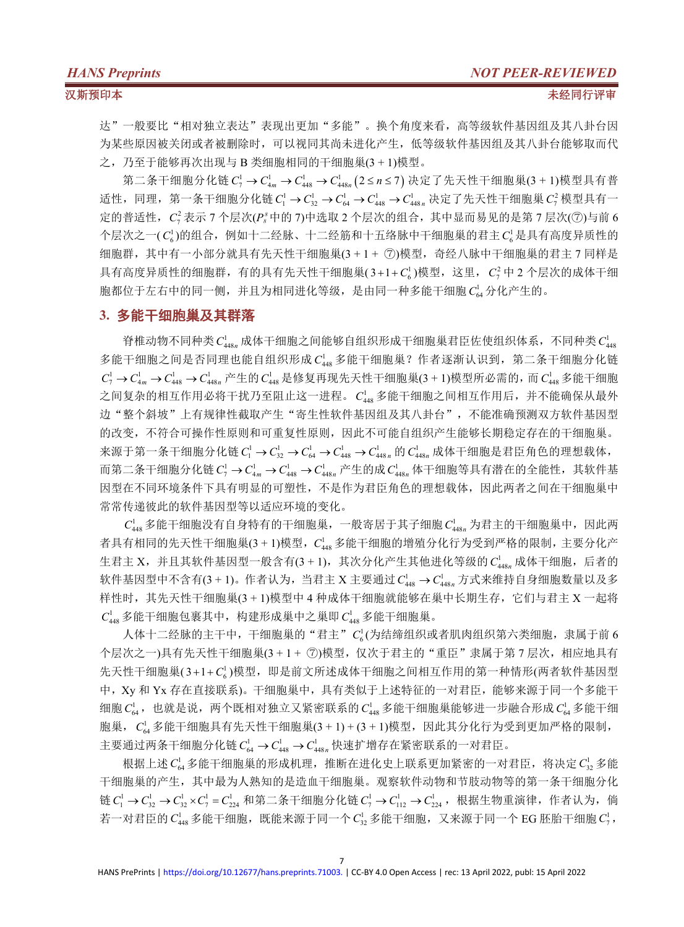达"一般要比"相对独立表达"表现出更加"多能"。换个角度来看,高等级软件基因组及其八卦台因 为某些原因被关闭或者被删除时,可以视同其尚未进化产生,低等级软件基因组及其八卦台能够取而代 之,乃至于能够再次出现与 B 类细胞相同的干细胞巢(3 + 1)模型。

第二条干细胞分化链  $C_{7}^{1} \rightarrow C_{4m}^{1} \rightarrow C_{448}^{1} \rightarrow C_{448n}^{1} \big(2 le n ≤ 7\big)$  决定了先天性干细胞巢(3 + 1)模型具有普 适性,同理,第一条干细胞分化链 $C_1^1$  →  $C_3^1$  →  $C_{64}^1$  →  $C_{448}^1$  →  $C_{448n}^1$  决定了先天性干细胞巢 $C_7^2$ 模型具有一 定的普适性,  $C^2_7$ 表示 7 个层次( $P^s_s$ 中的 7)中选取 2 个层次的组合, 其中显而易见的是第 7 层次(⑦)与前 6 个层次之一(  $C_6^1$ )的组合,例如十二经脉、十二经筋和十五络脉中干细胞巢的君主  $C_6^1$ 是具有高度异质性的 细胞群,其中有一小部分就具有先天性干细胞巢(3 + 1 + 7))模型,奇经八脉中干细胞巢的君主 7 同样是 具有高度异质性的细胞群,有的具有先天性干细胞巢(3+1+C'。)模型,这里,C'<sup>2</sup>中 2 个层次的成体干细 胞都位于左右中的同一侧,并且为相同进化等级,是由同一种多能干细胞 Ca 分化产生的。

### **3.** 多能干细胞巢及其群落

脊椎动物不同种类  $C_{\text{448}}^{\text{l}}$  成体干细胞之间能够自组织形成干细胞巢君臣佐使组织体系,不同种类  $C_{\text{448}}^{\text{l}}$ 多能干细胞之间是否同理也能自组织形成 C<sup>1</sup>48 多能干细胞巢? 作者逐渐认识到, 第二条干细胞分化链  $C_7^1$  →  $C_{4m}^1$  →  $C_{448}^1$  →  $C_{448}^1$  产生的  $C_{448}^1$  是修复再现先天性干细胞巢(3 + 1)模型所必需的, 而  $C_{448}^1$  多能干细胞 之间复杂的相互作用必将干扰乃至阻止这一进程。  $C_{\scriptscriptstyle 448}^{\scriptscriptstyle\rm L}$ 多能干细胞之间相互作用后,并不能确保从最外 边"整个斜坡"上有规律性截取产生"寄生性软件基因组及其八卦台",不能准确预测双方软件基因型 的改变,不符合可操作性原则和可重复性原则,因此不可能自组织产生能够长期稳定存在的干细胞巢。 来源于第一条干细胞分化链 $C_1^1$  →  $C_3^1$  →  $C_{64}^1$  →  $C_{448}^1$  →  $C_{448n}^1$  的体干细胞是君臣角色的理想载体, 而第二条干细胞分化链 $C_7^1$  →  $C_{4m}^1$  →  $C_{448}^1$  →  $C_{448n}^1$  产生的成 $C_{448n}^1$  体干细胞等具有潜在的全能性, 其软件基 因型在不同环境条件下具有明显的可塑性,不是作为君臣角色的理想载体,因此两者之间在干细胞巢中 常常传递彼此的软件基因型等以适应环境的变化。

 $C_{448}^1$  多能干细胞没有自身特有的干细胞巢, 一般寄居于其子细胞 $C_{448n}^1$  为君主的干细胞巢中, 因此两 者具有相同的先天性干细胞巢(3 + 1)模型, C148 多能干细胞的增殖分化行为受到严格的限制, 主要分化产 生君主 X, 并且其软件基因型一般含有(3 + 1), 其次分化产生其他进化等级的 C<sup>1</sup>448n 成体干细胞, 后者的 软件基因型中不含有(3 + 1)。作者认为, 当君主 X 主要通过  $C_{448}^{1}$  →  $C_{448n}^{1}$  方式来维持自身细胞数量以及多 样性时, 其先天性干细胞巢(3 + 1)模型中 4 种成体干细胞就能够在巢中长期生存, 它们与君主 X 一起将  $C_{448}^1$  多能干细胞包裹其中, 构建形成巢中之巢即 $C_{448}^1$  多能干细胞巢。

人体十二经脉的主干中,干细胞巢的"君主" *C*'<sub>6</sub>(为结缔组织或者肌肉组织第六类细胞,隶属于前 6 个层次之一)具有先天性干细胞巢(3 + 1 + 7)模型, 仅次于君主的"重臣"隶属于第7层次, 相应地具有 先天性干细胞巢(3+1+C3)模型,即是前文所述成体干细胞之间相互作用的第一种情形(两者软件基因型 中,Xy 和 Yx 存在直接联系)。干细胞巢中,具有类似于上述特征的一对君臣,能够来源于同一个多能干 细胞  $C_{64}^1$ , 也就是说, 两个既相对独立又紧密联系的  $C_{448}^1$  多能干细胞巢能够进一步融合形成  $C_{64}^1$  多能干细 胞巢,  $C_{6.4}$  多能干细胞具有先天性干细胞巢(3 + 1) + (3 + 1)模型, 因此其分化行为受到更加严格的限制, 主要通过两条干细胞分化链 $C_{64}^1$  →  $C_{448}^1$  →  $C_{448n}^1$  快速扩增存在紧密联系的一对君臣。

根据上述  $C_{\alpha}$ 多能干细胞巢的形成机理, 推断在进化史上联系更加紧密的一对君臣, 将决定  $C_{\alpha}$  多能 干细胞巢的产生,其中最为人熟知的是造血干细胞巢。观察软件动物和节肢动物等的第一条干细胞分化 链  $C_1^1$  →  $C_{32}^1$  →  $C_{32}^1$  ×  $C_7^1$  =  $C_{224}^1$  和第二条干细胞分化链  $C_7^1$  →  $C_{112}^1$  →  $C_{224}^1$ , 根据生物重演律, 作者认为, 倘 若一对君臣的 $C_{448}^1$  多能干细胞, 既能来源于同一个 $C_{32}^1$  多能干细胞, 又来源于同一个 EG 胚胎干细胞 $C_7^1$ ,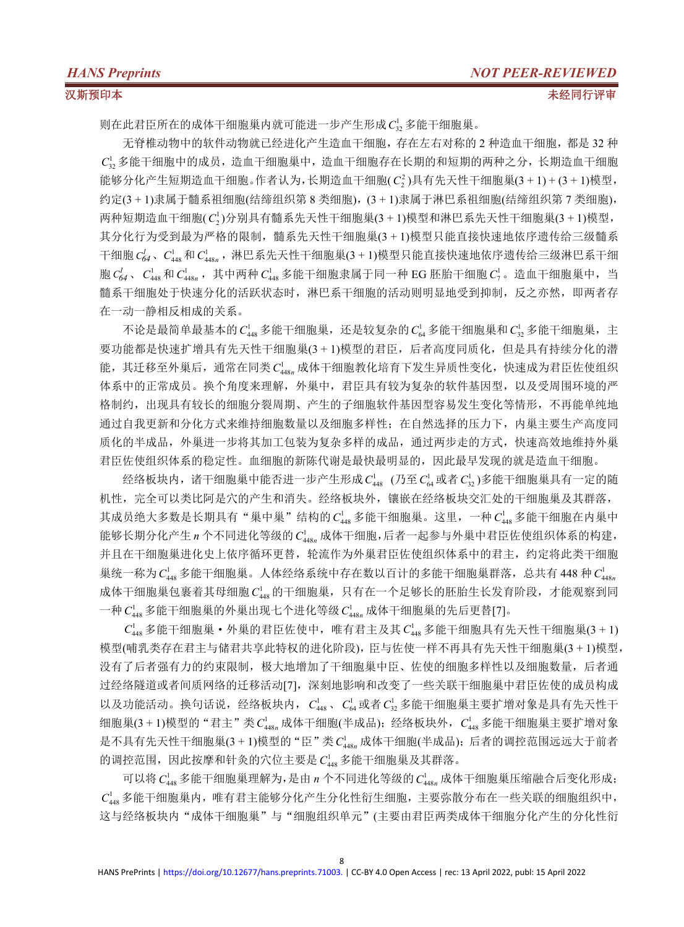则在此君臣所在的成体干细胞巢内就可能进一步产生形成 C<sup>1</sup><sub>3</sub> 多能干细胞巢。

无脊椎动物中的软件动物就已经进化产生造血干细胞,存在左右对称的 2 种造血干细胞,都是 32 种  $C<sub>2</sub>$ ,多能干细胞中的成员,造血干细胞巢中,造血干细胞存在长期的和短期的两种之分,长期造血干细胞 能够分化产生短期造血干细胞。作者认为,长期造血干细胞( $C_2^2$ )具有先天性干细胞巢(3 + 1) + (3 + 1)模型, 约定(3 + 1)隶属于髓系祖细胞(结缔组织第 8 类细胞),(3 + 1)隶属于淋巴系祖细胞(结缔组织第 7 类细胞), 两种短期造血干细胞( C12)分别具有髓系先天性干细胞巢(3 + 1)模型和淋巴系先天性干细胞巢(3 + 1)模型, 其分化行为受到最为严格的限制,髓系先天性干细胞巢(3 + 1)模型只能直接快速地依序遗传给三级髓系 干细胞  $C_{44}^f$ ,  $C_{448}^1$  *n*  $C_{448}^1$ , 补巴系先天性干细胞巢(3 + 1)模型只能直接快速地依序遗传给三级淋巴系干细 胞 $C_{64}^l$ 、 $C_{448}^l$ 和 $C_{448}^l$ ,,其中两种 $C_{448}^l$ 多能干细胞隶属于同一种 EG 胚胎干细胞 $C_7^l$ 。造血干细胞巢中, 当 髓系干细胞处于快速分化的活跃状态时,淋巴系干细胞的活动则明显地受到抑制,反之亦然,即两者存 在一动一静相反相成的关系。

不论是最简单最基本的  $C_{448}^1$  多能干细胞巢, 还是较复杂的  $C_{64}^1$  多能干细胞巢和  $C_{32}^1$  多能干细胞巢, 主 要功能都是快速扩增具有先天性干细胞巢(3 + 1)模型的君臣,后者高度同质化,但是具有持续分化的潜 能,其迁移至外巢后,通常在同类 C148n 成体干细胞教化培育下发生异质性变化,快速成为君臣佐使组织 体系中的正常成员。换个角度来理解,外巢中,君臣具有较为复杂的软件基因型,以及受周围环境的严 格制约,出现具有较长的细胞分裂周期、产生的子细胞软件基因型容易发生变化等情形,不再能单纯地 通过自我更新和分化方式来维持细胞数量以及细胞多样性;在自然选择的压力下,内巢主要生产高度同 质化的半成品,外巢进一步将其加工包装为复杂多样的成品,通过两步走的方式,快速高效地维持外巢 君臣佐使组织体系的稳定性。血细胞的新陈代谢是最快最明显的,因此最早发现的就是造血干细胞。

经络板块内,诸干细胞巢中能否进一步产生形成 C½ (乃至 C½ 或者 C½)多能干细胞巢具有一定的随 机性,完全可以类比阿是穴的产生和消失。经络板块外,镶嵌在经络板块交汇处的干细胞巢及其群落, 其成员绝大多数是长期具有"巢中巢"结构的 C<sup>1</sup>48 多能干细胞巢。这里, 一种 C<sup>1</sup>48 多能干细胞在内巢中 能够长期分化产生 n 个不同进化等级的 C<sup>1</sup>48<sub>n</sub> 成体干细胞,后者一起参与外巢中君臣佐使组织体系的构建, 并且在干细胞巢进化史上依序循环更替,轮流作为外巢君臣佐使组织体系中的君主,约定将此类干细胞 巢统一称为 C<sup>1</sup>48 多能干细胞巢。人体经络系统中存在数以百计的多能干细胞巢群落,总共有 448 种 C<sup>1</sup>48<sub>0</sub> 成体干细胞巢包裹着其母细胞 C148 的干细胞巢,只有在一个足够长的胚胎生长发育阶段,才能观察到同 一种  $C_{448}^1$  多能干细胞巢的外巢出现七个进化等级  $C_{448n}^1$  成体干细胞巢的先后更替[7]。

 $C_{448}^1$ 多能干细胞巢·外巢的君臣佐使中,唯有君主及其 $C_{448}^1$ 多能干细胞具有先天性干细胞巢(3 + 1) 模型(哺乳类存在君主与储君共享此特权的进化阶段),臣与佐使一样不再具有先天性干细胞巢(3 + 1)模型, 没有了后者强有力的约束限制,极大地增加了干细胞巢中臣、佐使的细胞多样性以及细胞数量,后者通 过经络隧道或者间质网络的迁移活动[7],深刻地影响和改变了一些关联干细胞巢中君臣佐使的成员构成 以及功能活动。换句话说,经络板块内,  $C_{448}^1$ 、 $C_{64}^1$ 或者 $C_{32}^1$ 多能干细胞巢主要扩增对象是具有先天性干 细胞巢(3 + 1)模型的"君主"类  $C_{448n}^{\text{l}}$ 成体干细胞(半成品);经络板块外,  $C_{448}^{\text{l}}$ 多能干细胞巢主要扩增对象 是不具有先天性干细胞巢(3 + 1)模型的"臣"类 C<sub>448n</sub> 成体干细胞(半成品);后者的调控范围远远大于前者 的调控范围,因此按摩和针灸的穴位主要是 C148 多能干细胞巢及其群落。

可以将  $C_{448}^1$  多能干细胞巢理解为,是由 n 个不同进化等级的  $C_{448n}^1$  成体干细胞巢压缩融合后变化形成;  $C_{\scriptscriptstyle\! 448}^{\rm l}$ 多能干细胞巢内,唯有君主能够分化产生分化性衍生细胞,主要弥散分布在一些关联的细胞组织中, 这与经络板块内"成体干细胞巢"与"细胞组织单元"(主要由君臣两类成体干细胞分化产生的分化性衍

8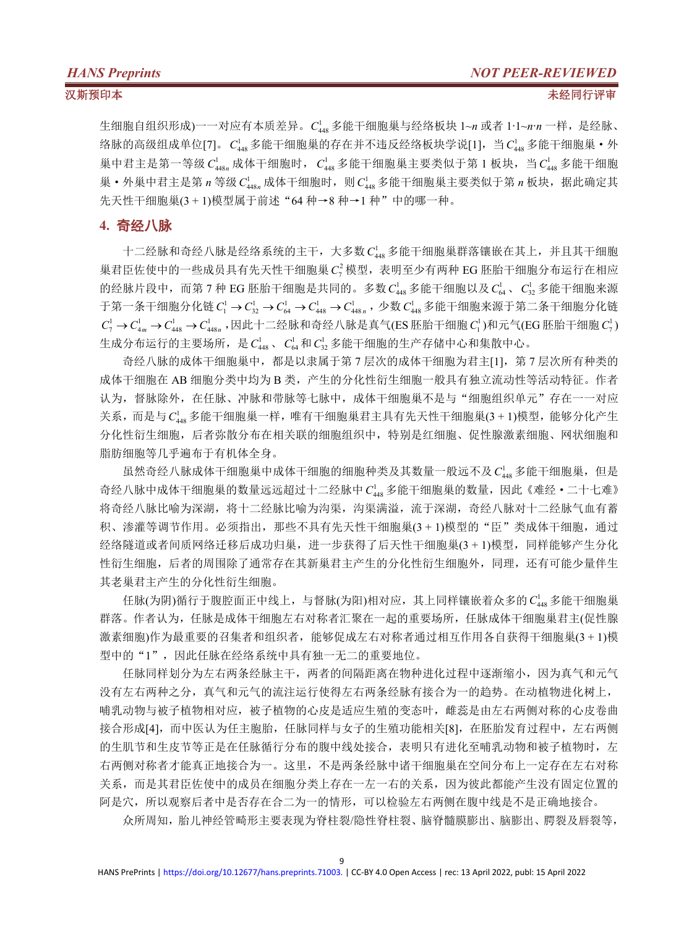生细胞自组织形成)一一对应有本质差异。  $C_{448}^1$  多能干细胞巢与经络板块 1~*n* 或者 1·1~*n*·*n* 一样, 是经脉、 络脉的高级组成单位[7]。  $C_{448}^1$ 多能干细胞巢的存在并不违反经络板块学说[1], 当  $C_{448}^1$  多能干细胞巢·外 巢中君主是第一等级  $C_{448n}^1$  成体干细胞时,  $C_{448}^1$  多能干细胞巢主要类似于第 1 板块, 当  $C_{448}^1$  多能干细胞 巢·外巢中君主是第 *n* 等级 C<sub>448n</sub> 成体干细胞时, 则 C<sub>448</sub> 多能干细胞巢主要类似于第 *n* 板块, 据此确定其 先天性干细胞巢(3 + 1)模型属于前述"64 种→8 种→1 种"中的哪一种。

### **4.** 奇经八脉

十二经脉和奇经八脉是经络系统的主干,大多数 C148 多能干细胞巢群落镶嵌在其上,并且其干细胞 巢君臣佐使中的一些成员具有先天性干细胞巢 C<sup>2</sup> 模型,表明至少有两种 EG 胚胎干细胞分布运行在相应 的经脉片段中,而第 7 种 EG 胚胎干细胞是共同的。多数  $C_{448}^1$  多能干细胞以及 $C_{64}^1$ 、 $C_{32}^1$  多能干细胞来源 于第一条干细胞分化链  $C_1^1$  →  $C_{32}^1$  →  $C_{64}^1$  →  $C_{448}^1$  →  $C_{448n}^1$  , 少数  $C_{448}^1$  多能干细胞来源于第二条干细胞分化链  $C_7^1\rightarrow C_{4m}^1\rightarrow C_{448}^1\rightarrow C_{448n}^1$  ,因此十二经脉和奇经八脉是真气(ES 胚胎干细胞  $C_1^1$ )和元气(EG 胚胎干细胞  $C_7^1$ )  $)$ 生成分布运行的主要场所,是  $C_{4.8}$ 、  $C_{6.4}$ 和  $C_{3.2}$  多能干细胞的生产存储中心和集散中心。

奇经八脉的成体干细胞巢中,都是以隶属于第 7 层次的成体干细胞为君主[1],第 7 层次所有种类的 成体干细胞在 AB 细胞分类中均为 B 类,产生的分化性衍生细胞一般具有独立流动性等活动特征。作者 认为,督脉除外,在任脉、冲脉和带脉等七脉中,成体干细胞巢不是与"细胞组织单元"存在一一对应 关系,而是与 C<sub>448</sub> 多能干细胞巢一样,唯有干细胞巢君主具有先天性干细胞巢(3 + 1)模型, 能够分化产生 分化性衍生细胞,后者弥散分布在相关联的细胞组织中,特别是红细胞、促性腺激素细胞、网状细胞和 脂肪细胞等几乎遍布于有机体全身。

虽然奇经八脉成体干细胞巢中成体干细胞的细胞种类及其数量一般远不及 C148 多能干细胞巢, 但是 奇经八脉中成体干细胞巢的数量远远超过十二经脉中 C<sup>1</sup>48 多能干细胞巢的数量,因此《难经·二十七难》 将奇经八脉比喻为深湖,[将十二经](https://baike.baidu.com/item/%E5%8D%81%E4%BA%8C%E6%AD%A3%E7%BB%8F)脉比喻为沟渠,沟渠满溢,流于深湖,奇经八脉对十二经脉气血有蓄 积、渗灌等调节作用。必须指出,那些不具有先天性干细胞巢(3 + 1)模型的"臣"类成体干细胞,通过 经络隧道或者间质网络迁移后成功归巢,进一步获得了后天性干细胞巢(3 + 1)模型,同样能够产生分化 性衍生细胞,后者的周围除了通常存在其新巢君主产生的分化性衍生细胞外,同理,还有可能少量伴生 其老巢君主产生的分化性衍生细胞。

任脉(为阴)循行于腹腔面正中线上,与督脉(为阳)相对应,其上同样镶嵌着众多的  $C_{\text{lag}}^{\text{l}}$  多能干细胞巢 群落。作者认为,任脉是成体干细胞左右对称者汇聚在一起的重要场所,任脉成体干细胞巢君主(促性腺 激素细胞)作为最重要的召集者和组织者,能够促成左右对称者通过相互作用各自获得干细胞巢(3 + 1)模 型中的"1",因此任脉在经络系统中具有独一无二的重要地位。

任脉同样划分为左右两条经脉主干,两者的间隔距离在物种进化过程中逐渐缩小,因为真气和元气 没有左右两种之分,真气和元气的流注运行使得左右两条经脉有接合为一的趋势。在动植物进化树上, 哺乳动物与被子植物相对应,被子植物的心皮是适应生殖的变态叶,雌蕊是由左右两侧对称的心皮卷曲 接合形成[4],而中医认为任主胞胎,任脉同样与女子的生殖功能相关[8],在胚胎发育过程中,左右两侧 的生肌节和生皮节等正是在任脉循行分布的腹中线处接合,表明只有进化至哺乳动物和被子植物时,左 右两侧对称者才能真正地接合为一。这里,不是两条经脉中诸干细胞巢在空间分布上一定存在左右对称 关系,而是其君臣佐使中的成员在细胞分类上存在一左一右的关系,因为彼此都能产生没有固定位置的 阿是穴,所以观察后者中是否存在合二为一的情形,可以检验左右两侧在腹中线是不是正确地接合。

众所周知,胎儿神经管畸形主要表现为脊柱裂/隐性脊柱裂、脑脊髓膜膨出、脑膨出、腭裂及唇裂等,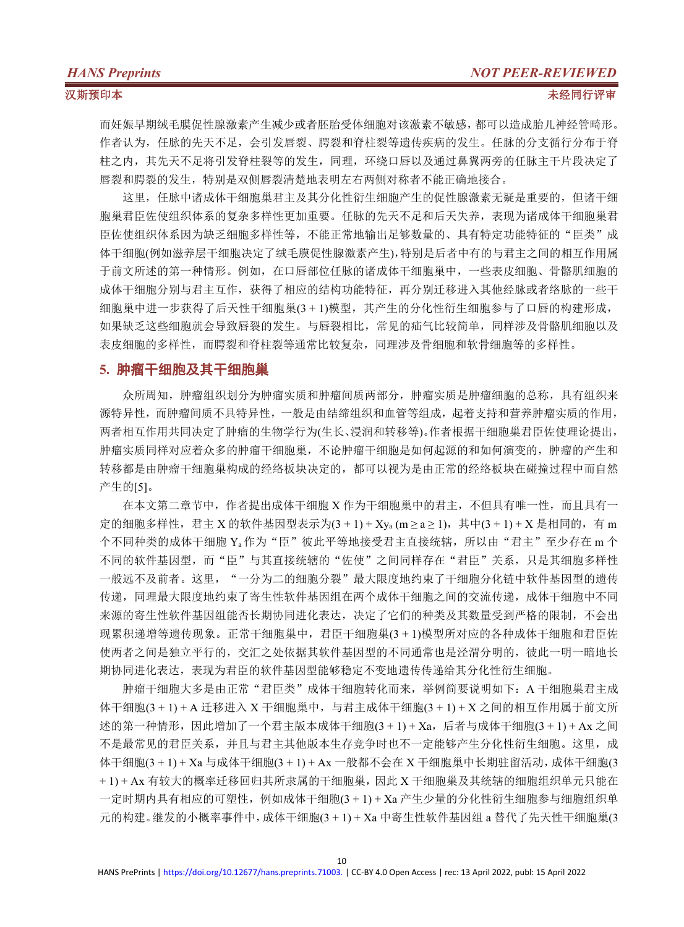而妊娠早期绒毛膜促性腺激素产生减少或者胚胎受体细胞对该激素不敏感,都可以造成胎儿神经管畸形。 作者认为,任脉的先天不足,会引发唇裂、腭裂和脊柱裂等遗传疾病的发生。任脉的分支循行分布于脊 柱之内,其先天不足将引发脊柱裂等的发生,同理,环绕口唇以及通过鼻翼两旁的任脉主干片段决定了 唇裂和腭裂的发生,特别是双侧唇裂清楚地表明左右两侧对称者不能正确地接合。

这里,任脉中诸成体干细胞巢君主及其分化性衍生细胞产生的促性腺激素无疑是重要的,但诸干细 胞巢君臣佐使组织体系的复杂多样性更加重要。任脉的先天不足和[后天失养](http://www.baidu.com/link?url=ENsjfDCnxJfTu2jxHKrz26g9aFc78Up3ap-FtYAWl_ixWR6PIb9eh3LAVgDK1ShHXsgzriTDlQu79vM-KmeLqK),表现为诸成体干细胞巢君 臣佐使组织体系因为缺乏细胞多样性等,不能正常地输出足够数量的、具有特定功能特征的"臣类"成 体干细胞(例如滋养层干细胞决定了绒毛膜促性腺激素产生),特别是后者中有的与君主之间的相互作用属 于前文所述的第一种情形。例如,在口唇部位任脉的诸成体干细胞巢中,一些表皮细胞、骨骼肌细胞的 成体干细胞分别与君主互作,获得了相应的结构功能特征,再分别迁移进入其他经脉或者络脉的一些干 细胞巢中进一步获得了后天性干细胞巢(3 + 1)模型,其产生的分化性衍生细胞参与了口唇的构建形成, 如果缺乏这些细胞就会导致唇裂的发生。与唇裂相比,常见的疝气比较简单,同样涉及骨骼肌细胞以及 表皮细胞的多样性,而腭裂和脊柱裂等通常比较复杂,同理涉及骨细胞和软骨细胞等的多样性。

### **5.** 肿瘤干细胞及其干细胞巢

众所周知,肿瘤组织划分为肿瘤实质和肿瘤间质两部分,肿瘤实质是肿瘤细胞的总称,具有组织来 源特异性,而肿瘤间质不具特异性,一般是由结缔组织和血管等组成,起着支持和营养肿瘤实质的作用, 两者相互作用共同决定了肿瘤的生物学行为(生长、浸润和转移等)。作者根据干细胞巢君臣佐使理论提出, 肿瘤实质同样对应着众多的肿瘤干细胞巢,不论肿瘤干细胞是如何起源的和如何演变的,肿瘤的产生和 转移都是由肿瘤干细胞巢构成的经络板块决定的,都可以视为是由正常的经络板块在碰撞过程中而自然 产生的[5]。

在本文第二章节中,作者提出成体干细胞 X 作为干细胞巢中的君主,不但具有唯一性,而且具有一 定的细胞多样性,君主 X 的软件基因型表示为(3 + 1) + Xya (m ≥ a ≥ 1), 其中(3 + 1) + X 是相同的, 有 m 个不同种类的成体干细胞 Ya作为"臣"彼此平等地接受君主直接统辖,所以由"君主"至少存在 m 个 不同的软件基因型,而"臣"与其直接统辖的"佐使"之间同样存在"君臣"关系,只是其细胞多样性 一般远不及前者。这里,"一分为二的细胞分裂"最大限度地约束了干细胞分化链中软件基因型的遗传 传递,同理最大限度地约束了寄生性软件基因组在两个成体干细胞之间的交流传递,成体干细胞中不同 来源的寄生性软件基因组能否长期协同进化表达,决定了它们的种类及其数量受到严格的限制,不会出 现累积递增等遗传现象。正常干细胞巢中,君臣干细胞巢(3 + 1)模型所对应的各种成体干细胞和君臣佐 使两者之间是独立平行的,交汇之处依据其软件基因型的不同通常也是泾渭分明的,彼此一明一暗地长 期协同进化表达,表现为君臣的软件基因型能够稳定不变地遗传传递给其分化性衍生细胞。

肿瘤干细胞大多是由正常"君臣类"成体干细胞转化而来[,举例](https://hanyu.baidu.com/s?wd=%E4%B8%BE%E4%BE%8B&ptype=zici)简要说明如下: A 干细胞巢君主成 体干细胞(3 + 1) + A 迁移进入 X 干细胞巢中,与君主成体干细胞(3 + 1) + X 之间的相互作用属于前文所 述的第一种情形,因此增加了一个君主版本成体干细胞(3 + 1) + Xa,后者与成体干细胞(3 + 1) + Ax 之间 不是最常见的君臣关系,并且与君主其他版本生存竞争时也不一定能够产生分化性衍生细胞。这里,成 体干细胞(3 + 1) + Xa 与成体干细胞(3 + 1) + Ax 一般都不会在 X 干细胞巢中长期驻留活动,成体干细胞(3 + 1) + Ax 有较大的概率迁移回归其所隶属的干细胞巢,因此 X 干细胞巢及其统辖的细胞组织单元只能在 一定时期内具有相应的可塑性,例如成体干细胞(3 + 1) + Xa 产生少量的分化性衍生细胞参与细胞组织单 元的构建。继发的小概率事件中,成体干细胞(3 + 1) + Xa 中寄生性软件基因组 a 替代了先天性干细胞巢(3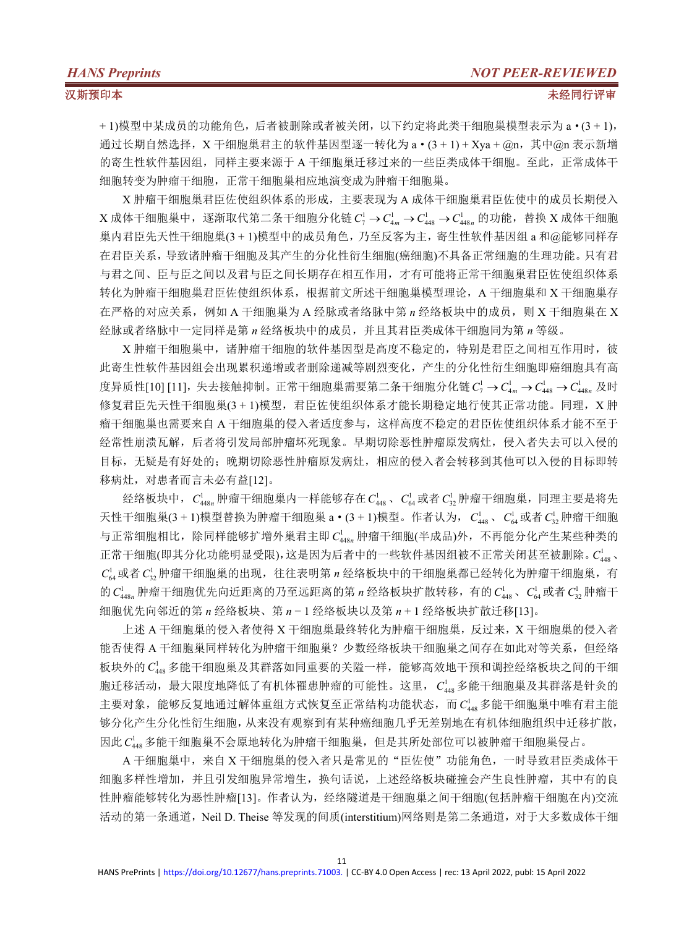+ 1)模型中某成员的功能角色,后者被删除或者被关闭,以下约定将此类干细胞巢模型表示为 a·(3 + 1), 通过长期自然选择, X 干细胞巢君主的软件基因型逐一转化为  $a \cdot (3 + 1) + X$ ya +  $\omega$ n, 其中 $\omega$ n 表示新增 的寄生性软件基因组,同样主要来源于 A 干细胞巢迁移过来的一些臣类成体干细胞。至此,正常成体干 细胞转变为肿瘤干细胞,正常干细胞巢相应地演变成为肿瘤干细胞巢。

X 肿瘤干细胞巢君臣佐使组织体系的形成,主要表现为 A 成体干细胞巢君臣佐使中的成员长期侵入 X 成体干细胞巢中, 逐渐取代第二条干细胞分化链  $C_7^1$  →  $C_{4m}^1$  →  $C_{448}^1$  →  $C_{448n}^1$  的功能, 替换 X 成体干细胞 巢内君臣先天性干细胞巢(3 + 1)模型中的成员角色,乃至反客为主,寄生性软件基因组 a 和@能够同样存 在君臣关系,导致诸肿瘤干细胞及其产生的分化性衍生细胞(癌细胞)不具备正常细胞的生理功能。只有君 与君之间、臣与臣之间以及君与臣之间长期存在相互作用,才有可能将正常干细胞巢君臣佐使组织体系 转化为肿瘤干细胞巢君臣佐使组织体系,根据前文所述干细胞巢模型理论,A 干细胞巢和 X 干细胞巢存 在严格的对应关系,例如 A 干细胞巢为 A 经脉或者络脉中第 *n* 经络板块中的成员,则 X 干细胞巢在 X 经脉或者络脉中一定同样是第 *n* 经络板块中的成员,并且其君臣类成体干细胞同为第 *n* 等级。

X 肿瘤干细胞巢中,诸肿瘤干细胞的软件基因型是高度不稳定的,特别是君臣之间相互作用时,彼 此寄生性软件基因组会出现累积递增或者删除递减等剧烈变化,产生的分化性衍生细胞即癌细胞具有高 度异质性[10] [11],失去接触抑制。正常干细胞巢需要第二条干细胞分化链  $C_7^1$  →  $C_{4}^1$  →  $C_{448}^1$  →  $C_{448n}^1$  及时 修复君臣先天性干细胞巢(3 + 1)模型,君臣佐使组织体系才能长期稳定地行使其正常功能。同理, X 肿 瘤干细胞巢也需要来自 A 干细胞巢的侵入者适度参与,这样高度不稳定的君臣佐使组织体系才能不至于 经常性崩溃瓦解,后者将引发局部肿瘤坏死现象。早期切除恶性肿瘤原发病灶,侵入者失去可以入侵的 目标,无疑是有好处的;晚期切除恶性肿瘤原发病灶,相应的侵入者会转移到其他可以入侵的目标即转 移病灶,对患者而言未必有益[12]。

经络板块中,  $C_{448n}^{\text{l}}$  肿瘤干细胞巢内一样能够存在 $C_{448}^{\text{l}}$ 、 $C_{64}^{\text{l}}$ 或者 $C_{32}^{\text{l}}$  肿瘤干细胞巢,同理主要是将先 天性干细胞巢(3 + 1)模型替换为肿瘤干细胞巢  $a \cdot (3 + 1)$ 模型。作者认为,  $C_{\mu 48}^1$ 、 $C_{\mu 4}^1$ 或者 $C_{\nu 2}^1$  肿瘤干细胞 与正常细胞相比,除同样能够扩增外巢君主即 C148n 肿瘤干细胞(半成品)外,不再能分化产生某些种类的 正常干细胞(即其分化功能明显受限),这是因为后者中的一些软件基因组被不正常关闭甚至被删除。  $C_{\text{\tiny 448}}^{\text{\tiny 1}}$ 、  $C_{\alpha}^{l}$ 或者  $C_{\gamma}^{l}$  肿瘤干细胞巢的出现,往往表明第 n 经络板块中的干细胞巢都已经转化为肿瘤干细胞巢, 有 的 $C_{448n}^1$  肿瘤干细胞优先向近距离的乃至远距离的第 *n* 经络板块扩散转移, 有的 $C_{448}^1$ 、 $C_{64}^1$  或者 $C_{32}^1$  肿瘤干 细胞优先向邻近的第 *n* 经络板块、第 *n* − 1 经络板块以及第 *n* + 1 经络板块扩散迁移[13]。

上述 A 干细胞巢的侵入者使得 X 干细胞巢最终转化为肿瘤干细胞巢,反过来,X 干细胞巢的侵入者 能否使得 A 干细胞巢同样转化为肿瘤干细胞巢? 少数经络板块干细胞巢之间存在如此对等关系, 但经络 板块外的 Ca48 多能干细胞巢及其群落如同重要的关隘一样, 能够高效地干预和调控经络板块之间的干细 胞迁移活动,最大限度地降低了有机体罹患肿瘤的可能性。这里, C148 多能干细胞巢及其群落是针灸的 主要对象,能够反复地通过解体重组方式恢复至正常结构功能状态,而 C<sup>1</sup>48多能干细胞巢中唯有君主能 够分化产生分化性衍生细胞,从来没有观察到有某种癌细胞几乎无差别地在有机体细胞组织中迁移扩散, 因此 C<sub>48</sub> 多能干细胞巢不会原地转化为肿瘤干细胞巢, 但是其所处部位可以被肿瘤干细胞巢侵占。

A 干细胞巢中,来自 X 干细胞巢的侵入者只是常见的"臣佐使"功能角色,一时导致君臣类成体干 细胞多样性增加,并且引发细胞异常增生,换句话说,上述经络板块碰撞会产生良性肿瘤,其中有的良 性肿瘤能够转化为恶性肿瘤[13]。作者认为,经络隧道是干细胞巢之间干细胞(包括肿瘤干细胞在内)交流 活动的第一条通道,Neil D. Theise 等发现的间质(interstitium)网络则是第二条通道,对于大多数成体干细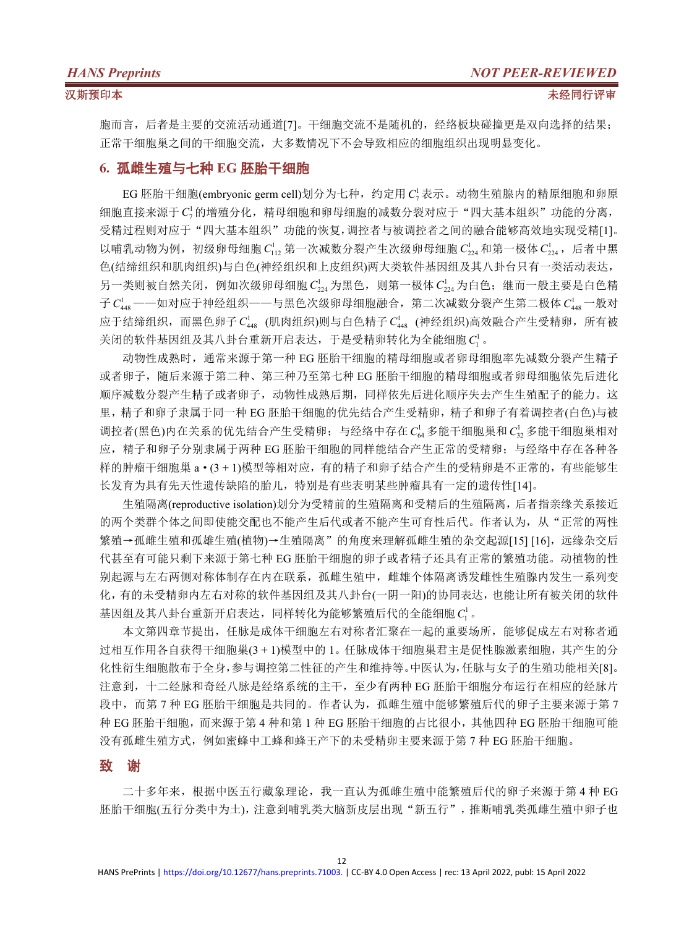胞而言,后者是主要的交流活动通道[7]。干细胞交流不是随机的,经络板块碰撞更是双向选择的结果; 正常干细胞巢之间的干细胞交流,大多数情况下不会导致相应的细胞组织出现明显变化。

### **6.** 孤雌生殖与七种 **EG** 胚胎干细胞

EG 胚胎干细胞(embryonic germ cell)划分为七种,约定用 C<sub>2</sub>表示。动物生殖腺内的精原细胞和卵原 细胞直接来源于 <sup>1</sup> *C*<sup>7</sup> 的增殖分化,精母细胞和卵母细胞的减数分裂对应于"四大基本组织"功能的分离, 受精过程则对应于"四大基本组织"功能的恢复,调控者与被调控者之间的融合能够高效地实现受精[1]。 以哺乳动物为例,初级卵母细胞  $C_{11}^1$ ,第一次减数分裂产生次级卵母细胞  $C_{21}^1$  [和第一极体](https://baike.baidu.com/item/%E7%AC%AC%E4%B8%80%E6%9E%81%E4%BD%93)  $C_{21}^1$ ,后者中黑 色(结缔组织和肌肉组织)与白色(神经组织和上皮组织)两大类软件基因组及其八卦台只有一类活动表达, 另一类则被自然关闭,例如次级卵母细胞 C<sub>224</sub> 为黑色,则[第一极体](https://baike.baidu.com/item/%E7%AC%AC%E4%B8%80%E6%9E%81%E4%BD%93) C<sub>224</sub> 为白色;继而一般主要是白色精 子  $C_{\text{max}}^1$  ——如对应于神经组织——与黑色次级卵母细胞融合, 第二次减数分裂产生[第二极体](https://baike.baidu.com/item/%E7%AC%AC%E4%B8%80%E6%9E%81%E4%BD%93)  $C_{\text{max}}^1$  一般对 应于结缔组织,而黑色卵子 C'<sub>448</sub> (肌肉组织)则与白色精子 C'<sub>448</sub> (神经组织)高效融合产生受精卵,所有被 关闭的软件基因组及其八卦台重新开启表达,于是受精卵转化为全能细胞 C<sup>1</sup>。

动物性成熟时,通常来源于第一种 EG 胚胎干细胞的精母细胞或者卵母细胞率先减数分裂产生精子 或者卵子,随后来源于第二种、第三种乃至第七种 EG 胚胎干细胞的精母细胞或者卵母细胞依先后进化 顺序减数分裂产生精子或者卵子,动物性成熟后期,同样依先后进化顺序失去产生生殖配子的能力。这 里,精子和卵子隶属于同一种 EG 胚胎干细胞的优先结合产生受精卵,精子和卵子有着调控者(白色)与被 调控者(黑色)内在关系的优先结合产生受精卵;与经络中存在 Ca 多能干细胞巢和 C<sub>3</sub> 多能干细胞巢相对 应,精子和卵子分别隶属于两种 EG 胚胎干细胞的同样能结合产生正常的受精卵;与经络中存在各种各 样的肿瘤干细胞巢 a·(3 + 1)模型等相对应,有的精子和卵子结合产生的受精卵是不正常的,有些能够生 长发育为具有先天性遗传缺陷的胎儿,特别是有些表明某些肿瘤具有一定的遗传性[14]。

生殖隔离(reproductive isolation)划分为受精前的生殖隔离和受精后的生殖隔离,后者指亲缘关系接近 的两个类群个体之间即使能交配也不能产生后代或者不能产生可育性后代。作者认为,从"正常的两性 繁殖→孤雌生殖和孤雄生殖(植物)→生殖隔离"的角度来理解孤雌生殖的杂交起源[15] [16], 远缘杂交后 代甚至有可能只剩下来源于第七种 EG 胚胎干细胞的卵子或者精子还具有正常的繁殖功能。动植物的性 别起源与左右两侧对称体制存在内在联系,孤雌生殖中,雌雄个体隔离诱发雌性生殖腺内发生一系列变 化,有的未受精卵内左右对称的软件基因组及其八卦台(一阴一阳)的协同表达,也能让所有被关闭的软件 基因组及其八卦台重新开启表达,同样转化为能够繁殖后代的全能细胞 <sup>1</sup> *C*<sup>1</sup> 。

本文第四章节提出,任脉是成体干细胞左右对称者汇聚在一起的重要场所,能够促成左右对称者通 过相互作用各自获得干细胞巢(3 + 1)模型中的 1。任脉成体干细胞巢君主是促性腺激素细胞,其产生的分 化性衍生细胞散布于全身,参与调控第二性征的产生和维持等。中医认为,任脉与女子的生殖功能相关[8]。 注意到,十二经脉和奇经八脉是经络系统的主干,至少有两种 EG 胚胎干细胞分布运行在相应的经脉片 段中,而第 7 种 EG 胚胎干细胞是共同的。作者认为,孤雌生殖中能够繁殖后代的卵子主要来源于第 7 种 EG 胚胎干细胞,而来源于第 4 种和第 1 种 EG 胚胎干细胞的占比很小,其他四种 EG 胚胎干细胞可能 没有孤雌生殖方式,例如蜜蜂中工蜂和蜂王产下的未受精卵主要来源于第 7 种 EG 胚胎干细胞。

### 致 谢

二十多年来,根据中医五行藏象理论,我一直认为孤雌生殖中能繁殖后代的卵子来源于第 4 种 EG 胚胎干细胞(五行分类中为土),注意到哺乳类大脑新皮层出现"新五行",推断哺乳类孤雌生殖中卵子也